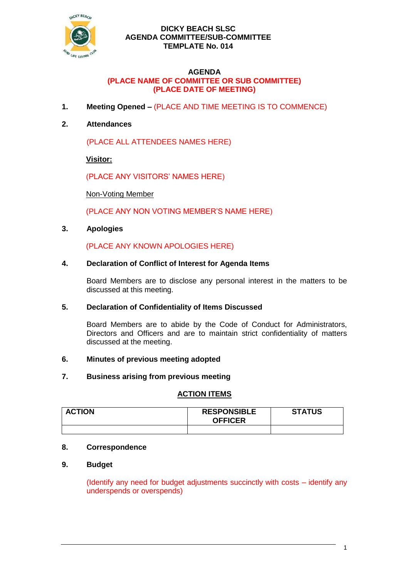

## **DICKY BEACH SLSC AGENDA COMMITTEE/SUB-COMMITTEE TEMPLATE No. 014**

### **AGENDA (PLACE NAME OF COMMITTEE OR SUB COMMITTEE) (PLACE DATE OF MEETING)**

**1. Meeting Opened –** (PLACE AND TIME MEETING IS TO COMMENCE)

# **2. Attendances**

(PLACE ALL ATTENDEES NAMES HERE)

**Visitor:**

(PLACE ANY VISITORS' NAMES HERE)

Non-Voting Member

(PLACE ANY NON VOTING MEMBER'S NAME HERE)

### **3. Apologies**

(PLACE ANY KNOWN APOLOGIES HERE)

### **4. Declaration of Conflict of Interest for Agenda Items**

Board Members are to disclose any personal interest in the matters to be discussed at this meeting.

#### **5. Declaration of Confidentiality of Items Discussed**

Board Members are to abide by the Code of Conduct for Administrators, Directors and Officers and are to maintain strict confidentiality of matters discussed at the meeting.

#### **6. Minutes of previous meeting adopted**

#### **7. Business arising from previous meeting**

## **ACTION ITEMS**

| <b>ACTION</b> | <b>RESPONSIBLE</b><br><b>OFFICER</b> | <b>STATUS</b> |
|---------------|--------------------------------------|---------------|
|               |                                      |               |

# **8. Correspondence**

## **9. Budget**

(Identify any need for budget adjustments succinctly with costs – identify any underspends or overspends)